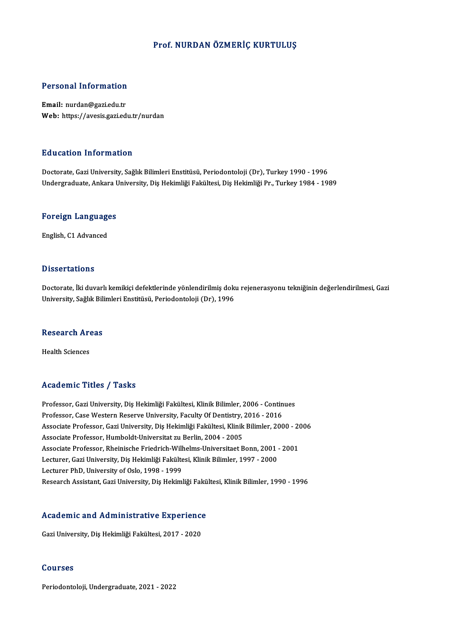## Prof. NURDAN ÖZMERİÇ KURTULUŞ

### Personal Information

Email: nurdan@gazi.edu.tr Web: https://avesis.gazi.edu.tr/nurdan

### Education Information

Doctorate, Gazi University, Sağlık Bilimleri Enstitüsü, Periodontoloji (Dr), Turkey 1990 - 1996 Undergraduate, Ankara University, Diş Hekimliği Fakültesi, Diş Hekimliği Pr., Turkey 1984 - 1989

# <sub>ondergraduate, Ankara t<br>Foreign Languages</sub> <mark>Foreign Language</mark><br>English, C1 Advanced

English, C1 Advanced<br>Dissertations

Dissertations<br>Doctorate, İki duvarlı kemikiçi defektlerinde yönlendirilmiş doku rejenerasyonu tekniğinin değerlendirilmesi, Gazi<br>University, Sağlık Pilimleri Enstitüsü, Periodenteleji (Dr), 1996 D'isser tatronis<br>Doctorate, İki duvarlı kemikiçi defektlerinde yönlendirilmiş dok<br>University, Sağlık Bilimleri Enstitüsü, Periodontoloji (Dr), 1996

# oniversity, saglik Bill<br>Research Areas R<mark>esearch Ar</mark><br>Health Sciences

# Academic Titles / Tasks

Academic Titles / Tasks<br>Professor, Gazi University, Diş Hekimliği Fakültesi, Klinik Bilimler, 2006 - Continues<br>Professor, Gazi University, Diş Hekimliği Fakültesi, Klinik Bilimler, 2006 - Continues Professor, Gazi University, Diş Hekimliği Fakültesi, Klinik Bilimler, 2006 - Contin<br>Professor, Case Western Reserve University, Faculty Of Dentistry, 2016 - 2016<br>Assesiste Brofessor, Cari University, Dis Hekimliği Fakültes Professor, Gazi University, Diş Hekimliği Fakültesi, Klinik Bilimler, 2006 - Continues<br>Professor, Case Western Reserve University, Faculty Of Dentistry, 2016 - 2016<br>Associate Professor, Gazi University, Diş Hekimliği Fakül Professor, Case Western Reserve University, Faculty Of Dentistry, Associate Professor, Gazi University, Diş Hekimliği Fakültesi, Klinik<br>Associate Professor, Humboldt-Universitat zu Berlin, 2004 - 2005<br>Associate Professor, Associate Professor, Gazi University, Diş Hekimliği Fakültesi, Klinik Bilimler, 2000 - 2(<br>Associate Professor, Humboldt-Universitat zu Berlin, 2004 - 2005<br>Associate Professor, Rheinische Friedrich-Wilhelms-Universitaet Bon Associate Professor, Humboldt-Universitat zu Berlin, 2004 - 2005<br>Associate Professor, Rheinische Friedrich-Wilhelms-Universitaet Bonn, 2001<br>Lecturer, Gazi University, Diş Hekimliği Fakültesi, Klinik Bilimler, 1997 - 2000<br>L Associate Professor, Rheinische Friedrich-Will<br>Lecturer, Gazi University, Diş Hekimliği Fakülte<br>Lecturer PhD, University of Oslo, 1998 - 1999<br>Besearsh Assistant, Gazi University, Dis Hekiml Lecturer, Gazi University, Diş Hekimliği Fakültesi, Klinik Bilimler, 1997 - 2000<br>Lecturer PhD, University of Oslo, 1998 - 1999<br>Research Assistant, Gazi University, Diş Hekimliği Fakültesi, Klinik Bilimler, 1990 - 1996

# Research Assistant, Gazi University, Diş Hekimiyi Faku<br>Academic and Administrative Experience A<mark>cademic and Administrative Experienc</mark><br>Gazi University, Diş Hekimliği Fakültesi, 2017 - 2020

Gazi University, Diş Hekimliği Fakültesi, 2017 - 2020<br>Courses

Periodontoloji, Undergraduate, 2021 - 2022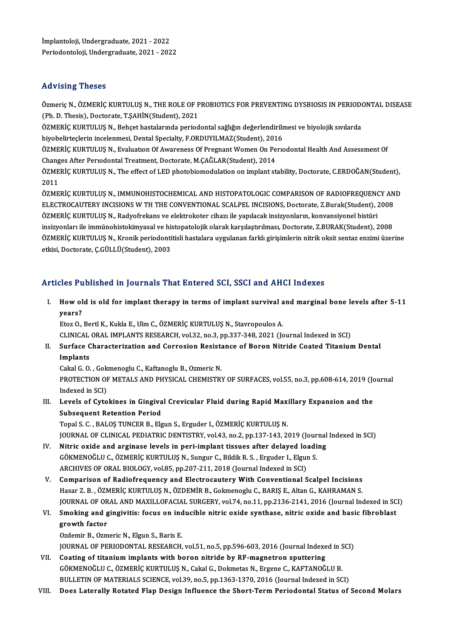Advising Theses<br>Özmeriç N., ÖZMERİÇ KURTULUŞ N., THE ROLE OF PROBIOTICS FOR PREVENTING DYSBIOSIS IN PERIODONTAL DISEASE<br>(Ph. D. Thesis), Dostarata T.SAHİN(Student), 2021 (Ph. D. Thesis), D. Thesis), D. The ROLE OF P.<br>(Ph. D. Thesis), Doctorate, T.ŞAHİN(Student), 2021<br>ÖZMERİC KURTULUS N. Bobost bastalarında period Özmeriç N., ÖZMERİÇ KURTULUŞ N., THE ROLE OF PROBIOTICS FOR PREVENTING DYSBIOSIS IN PERIODO<br>(Ph. D. Thesis), Doctorate, T.ŞAHİN(Student), 2021<br>ÖZMERİÇ KURTULUŞ N., Behçet hastalarında periodontal sağlığın değerlendirilmesi

(Ph. D. Thesis), Doctorate, T.ŞAHİN(Student), 2021<br>ÖZMERİÇ KURTULUŞ N., Behçet hastalarında periodontal sağlığın değerlendirilmesi ve biyolojik sıvılarda<br>biyobelirteclerin incelenmesi, Dental Specialty, F.ORDUYILMAZ(Studen

ÖZMERİÇ KURTULUS N., Evaluation Of Awareness Of Pregnant Women On Periodontal Health And Assessment Of biyobelirteçlerin incelenmesi, Dental Specialty, F.ORDUYILMAZ(Student), 201<br>ÖZMERİÇ KURTULUŞ N., Evaluation Of Awareness Of Pregnant Women On Pe<br>Changes After Periodontal Treatment, Doctorate, M.ÇAĞLAR(Student), 2014<br>ÖZMER ÖZMERİÇ KURTULUŞ N., Evaluatıon Of Awareness Of Pregnant Women On Perıodontal Health And Assessment Of<br>Changes After Perıodontal Treatment, Doctorate, M.ÇAĞLAR(Student), 2014<br>ÖZMERİÇ KURTULUŞ N., The effect of LED photobio

Chang<br>ÖZME<br>2011<br>ÖZME ÖZMERİÇ KURTULUŞ N., The effect of LED photobiomodulation on implant stability, Doctorate, C.ERDOĞAN(Student),<br>2011<br>ÖZMERİÇ KURTULUŞ N., IMMUNOHISTOCHEMICAL AND HISTOPATOLOGIC COMPARISON OF RADIOFREQUENCY AND<br>ELECTROCALITE

2011<br>ÖZMERİÇ KURTULUŞ N., IMMUNOHISTOCHEMICAL AND HISTOPATOLOGIC COMPARISON OF RADIOFREQUENCY AN<br>ELECTROCAUTERY INCISIONS W TH THE CONVENTIONAL SCALPEL INCISIONS, Doctorate, Z.Burak(Student), 2008<br>ÖZMERİÇ KURTULUS N. Podvo ÖZMERİÇ KURTULUŞ N., IMMUNOHISTOCHEMICAL AND HISTOPATOLOGIC COMPARISON OF RADIOFREQUENO<br>ELECTROCAUTERY INCISIONS W TH THE CONVENTIONAL SCALPEL INCISIONS, Doctorate, Z.Burak(Student), 2<br>ÖZMERİÇ KURTULUŞ N., Radyofrekans ve ELECTROCAUTERY INCISIONS W TH THE CONVENTIONAL SCALPEL INCISIONS, Doctorate, Z.Burak(Student), 2008<br>ÖZMERİÇ KURTULUŞ N., Radyofrekans ve elektrokoter cihazı ile yapılacak insizyonların, konvansiyonel bistüri<br>insizyonları i ÖZMERİÇ KURTULUŞ N., Radyofrekans ve elektrokoter cihazı ile yapılacak insizyonların, konvansiyonel bistüri<br>insizyonları ile immünohistokimyasal ve histopatolojik olarak karşılaştırılması, Doctorate, Z.BURAK(Student), 2008 insizyonları ile immünohistokimyasal ve hi:<br>ÖZMERİÇ KURTULUŞ N., Kronik periodonti<br>etkisi, Doctorate, Ç.GÜLLÜ(Student), 2003

# etkisi, Doctorate, Ç.GÜLLÜ(Student), 2003<br>Articles Published in Journals That Entered SCI, SSCI and AHCI Indexes

I. Howold is old for implant therapy in terms of implant survival andmarginal bone levels after 5-11 How ol<br>How ol<br>years?

years?<br>Etoz O., Bertl K., Kukla E., Ulm C., ÖZMERİÇ KURTULUŞ N., Stavropoulos A. years?<br>Etoz O., Bertl K., Kukla E., Ulm C., ÖZMERİÇ KURTULUŞ N., Stavropoulos A.<br>CLINICAL ORAL IMPLANTS RESEARCH, vol.32, no.3, pp.337-348, 2021 (Journal Indexed in SCI)<br>Surface Characterization and Corresion Besistance of Etoz O., Bertl K., Kukla E., Ulm C., ÖZMERİÇ KURTULUŞ N., Stavropoulos A.<br>CLINICAL ORAL IMPLANTS RESEARCH, vol.32, no.3, pp.337-348, 2021 (Journal Indexed in SCI)<br>II. Surface Characterization and Corrosion Resistance of Bo

CLINICAL<br>Surface C<br>Implants<br>Calral C. O. Surface Characterization and Corrosion Resista<br>Implants<br>Cakal G. O. , Gokmenoglu C., Kaftanoglu B., Ozmeric N.<br>PROTECTION OF METALS AND PHYSICAL CHEMISTRY

Implants<br>Cakal G. O. , Gokmenoglu C., Kaftanoglu B., Ozmeric N.<br>PROTECTION OF METALS AND PHYSICAL CHEMISTRY OF SURFACES, vol.55, no.3, pp.608-614, 2019 (Journal<br>Indexed in SCI) Cakal G. O. , Gok<br>PROTECTION OF<br>Indexed in SCI)<br>Lavels of Cyte PROTECTION OF METALS AND PHYSICAL CHEMISTRY OF SURFACES, vol.55, no.3, pp.608-614, 2019 (Journal)<br>Indexed in SCI)<br>III. Levels of Cytokines in Gingival Crevicular Fluid during Rapid Maxillary Expansion and the<br>Subsequent Pe

Indexed in SCI)<br>Levels of Cytokines in Gingiva<br>Subsequent Retention Period<br>Topel S.C., BALOS TUNGER R. Flo

Subsequent Retention Period<br>Topal S. C. , BALOŞ TUNCER B., Elgun S., Erguder I., ÖZMERİÇ KURTULUŞ N. Subsequent Retention Period<br>Topal S. C. , BALOS TUNCER B., Elgun S., Erguder I., ÖZMERİÇ KURTULUŞ N.<br>JOURNAL OF CLINICAL PEDIATRIC DENTISTRY, vol.43, no.2, pp.137-143, 2019 (Journal Indexed in SCI)<br>Nitris oxide and arginas Topal S. C., BALOŞ TUNCER B., Elgun S., Erguder I., ÖZMERİÇ KURTULUŞ N.<br>JOURNAL OF CLINICAL PEDIATRIC DENTISTRY, vol.43, no.2, pp.137-143, 2019 (Journal<br>IV. Nitric oxide and arginase levels in peri-implant tissues after de

- JOURNAL OF CLINICAL PEDIATRIC DENTISTRY, vol.43, no.2, pp.137-143, 2019 (Journal Mitric oxide and arginase levels in peri-implant tissues after delayed loadi<br>GÖKMENOĞLU C., ÖZMERİÇ KURTULUŞ N., Sungur C., Bildik R. S. , Er IV. Nitric oxide and arginase levels in peri-implant tissues after delayed loading<br>GÖKMENOĞLU C., ÖZMERİÇ KURTULUŞ N., Sungur C., Bildik R. S. , Erguder I., Elgun S.<br>ARCHIVES OF ORAL BIOLOGY, vol.85, pp.207-211, 2018 (Jour
- V. Comparison of Radiofrequency and ElectrocauteryWith Conventional Scalpel Incisions Hasar Z.B., ÖZMERİÇ KURTULUŞ N., ÖZDEMİR B., Gokmenoglu C., BARIŞ E., Altan G., KAHRAMAN S. Comparison of Radiofrequency and Electrocautery With Conventional Scalpel Incisions<br>Hasar Z. B. , ÖZMERİÇ KURTULUŞ N., ÖZDEMİR B., Gokmenoglu C., BARIŞ E., Altan G., KAHRAMAN S.<br>JOURNAL OF ORAL AND MAXILLOFACIAL SURGERY, v Hasar Z. B., ÖZMERİÇ KURTULUŞ N., ÖZDEMİR B., Gokmenoglu C., BARIŞ E., Altan G., KAHRAMAN S.<br>JOURNAL OF ORAL AND MAXILLOFACIAL SURGERY, vol.74, no.11, pp.2136-2141, 2016 (Journal Indexed in SC<br>VI. Smoking and gingivitis: f

## JOURNAL OF OR<br>Smoking and g<br>growth factor<br>Ordomin B. Orm VI. Smoking and gingivitis: focus on inducible nitric oxide synthase, nitric oxide and basic fibroblast growth factor<br>Ozdemir B., Ozmeric N., Elgun S., Baris E.

JOURNAL OF PERIODONTAL RESEARCH, vol.51, no.5, pp.596-603, 2016 (Journal Indexed in SCI)

- VII. Coating of titanium implants with boron nitride by RF-magnetron sputtering GÖKMENOĞLU C., ÖZMERİÇ KURTULUŞ N., Cakal G., Dokmetas N., Ergene C., KAFTANOĞLU B. BULLETIN OF MATERIALS SCIENCE, vol.39, no.5, pp.1363-1370, 2016 (Journal Indexed in SCI)
- VIII. Does Laterally Rotated Flap Design Influence the Short-Term Periodontal Status of Second Molars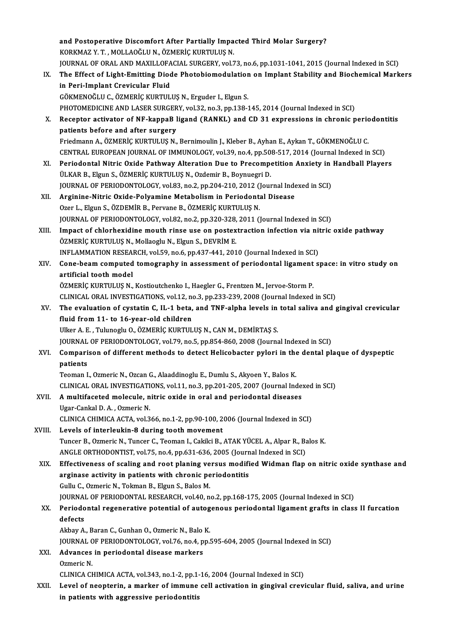and Postoperative Discomfort After Partially Impacted Third Molar Surgery?<br>KORKMAZ V.T., MOLLAOČLIJN, ÖZMERIC KURTULUS N and Postoperative Discomfort After Partially Impa<br>KORKMAZ Y.T., MOLLAOĞLU N., ÖZMERİÇ KURTULUŞ N.<br>JOUPNAL OF ORAL AND MAXILLOFAÇIAL SURGERY vel.3 and Postoperative Discomfort After Partially Impacted Third Molar Surgery?<br>KORKMAZ Y. T. , MOLLAOĞLU N., ÖZMERİÇ KURTULUŞ N.<br>JOURNAL OF ORAL AND MAXILLOFACIAL SURGERY, vol.73, no.6, pp.1031-1041, 2015 (Journal Indexed in S KORKMAZ Y. T. , MOLLAOĞLU N., ÖZMERİÇ KURTULUŞ N.<br>JOURNAL OF ORAL AND MAXILLOFACIAL SURGERY, vol.73, no.6, pp.1031-1041, 2015 (Journal Indexed in SCI)<br>IX. The Effect of Light-Emitting Diode Photobiomodulation on Implant St **JOURNAL OF ORAL AND MAXILLOFA<br>The Effect of Light-Emitting Diod<br>in Peri-Implant Crevicular Fluid<br>CÖKMENOČLU C ÖZMERIC KUPTUL** GÖKMENOĞLUC.,ÖZMERİÇKURTULUŞN.,Erguder I.,ElgunS. in Peri-Implant Crevicular Fluid<br>GÖKMENOĞLU C., ÖZMERİÇ KURTULUŞ N., Erguder I., Elgun S.<br>PHOTOMEDICINE AND LASER SURGERY, vol.32, no.3, pp.138-145, 2014 (Journal Indexed in SCI)<br>Pesenter astivator of NE kannaP lisand (PAN X. Receptor activator of NF-kappaB ligand (RANKL) and CD 31 expressions in chronic periodontitis PHOTOMEDICINE AND LASER SURGER<br>Receptor activator of NF-kappaB I<br>patients before and after surgery Receptor activator of NF-kappaB ligand (RANKL) and CD 31 expressions in chronic peric<br>patients before and after surgery<br>Friedmann A., ÖZMERİÇ KURTULUŞ N., Bernimoulin J., Kleber B., Ayhan E., Aykan T., GÖKMENOĞLU C.<br>CENTRA patients before and after surgery<br>Friedmann A., ÖZMERİÇ KURTULUŞ N., Bernimoulin J., Kleber B., Ayhan E., Aykan T., GÖKMENOĞLU C.<br>CENTRAL EUROPEAN JOURNAL OF IMMUNOLOGY, vol.39, no.4, pp.508-517, 2014 (Journal Indexed in S XI. Periodontal Nitric Oxide Pathway Alteration Due to Precompetition Anxiety in Handball Players<br>ÜLKAR B., Elgun S., ÖZMERİÇ KURTULUŞ N., Ozdemir B., Boynuegri D. CENTRAL EUROPEAN JOURNAL OF IMMUNOLOGY, vol.39, no.4, pp.508-517, 2014 (Journal Indexed in SCI) Periodontal Nitric Oxide Pathway Alteration Due to Precompetition Anxiety in<br>ÜLKAR B., Elgun S., ÖZMERİÇ KURTULUŞ N., Ozdemir B., Boynuegri D.<br>JOURNAL OF PERIODONTOLOGY, vol.83, no.2, pp.204-210, 2012 (Journal Indexed in S ÜLKAR B., Elgun S., ÖZMERİÇ KURTULUŞ N., Ozdemir B., Boynuegri D.<br>JOURNAL OF PERIODONTOLOGY, vol.83, no.2, pp.204-210, 2012 (Journal Index XII.<br>XII. Arginine-Nitric Oxide-Polyamine Metabolism in Periodontal Disease<br>Ozer L. JOURNAL OF PERIODONTOLOGY, vol.83, no.2, pp.204-210, 2012 ()<br>Arginine-Nitric Oxide-Polyamine Metabolism in Periodont:<br>Ozer L., Elgun S., ÖZDEMİR B., Pervane B., ÖZMERİÇ KURTULUŞ N.<br>JOUPNAL OF PERIODONTOLOGY, vol.82, no.2, Arginine-Nitric Oxide-Polyamine Metabolism in Periodontal Disease<br>Ozer L., Elgun S., ÖZDEMİR B., Pervane B., ÖZMERİÇ KURTULUŞ N.<br>JOURNAL OF PERIODONTOLOGY, vol.82, no.2, pp.320-328, 2011 (Journal Indexed in SCI)<br>Impect of Ozer L., Elgun S., ÖZDEMİR B., Pervane B., ÖZMERİÇ KURTULUŞ N.<br>JOURNAL OF PERIODONTOLOGY, vol.82, no.2, pp.320-328, 2011 (Journal Indexed in SCI)<br>XIII. Impact of chlorhexidine mouth rinse use on postextraction infection vi JOURNAL OF PERIODONTOLOGY, vol.82, no.2, pp.320-328,<br>Impact of chlorhexidine mouth rinse use on postex<br>ÖZMERİÇ KURTULUŞ N., Mollaoglu N., Elgun S., DEVRİM E.<br>INELAMMATION RESEARCH xol.50, no.6, np.437,441,301 Impact of chlorhexidine mouth rinse use on postextraction infection via nit<br>ÖZMERİÇ KURTULUŞ N., Mollaoglu N., Elgun S., DEVRİM E.<br>INFLAMMATION RESEARCH, vol.59, no.6, pp.437-441, 2010 (Journal Indexed in SCI)<br>Cana beam co XIV. Cone-beam computed tomography in assessment of periodontal ligament space: in vitro study on artificial tooth model INFLAMMATION RESEA<br>Cone-beam computed<br>artificial tooth model<br>ÖZMERİC KURTULUS N ÖZMERİÇ KURTULUŞ N., Kostioutchenko I., Haegler G., Frentzen M., Jervoe-Storm P. artificial tooth model<br>ÖZMERİÇ KURTULUŞ N., Kostioutchenko I., Haegler G., Frentzen M., Jervoe-Storm P.<br>CLINICAL ORAL INVESTIGATIONS, vol.12, no.3, pp.233-239, 2008 (Journal Indexed in SCI)<br>The evaluation of evatatin C. H. ÖZMERİÇ KURTULUŞ N., Kostioutchenko I., Haegler G., Frentzen M., Jervoe-Storm P.<br>CLINICAL ORAL INVESTIGATIONS, vol.12, no.3, pp.233-239, 2008 (Journal Indexed in SCI)<br>XV. The evaluation of cystatin C, IL-1 beta, and TNF-al CLINICAL ORAL INVESTIGATIONS, vol.12, no<br>The evaluation of cystatin C, IL-1 beta,<br>fluid from 11- to 16-year-old children<br>Illier A E, Tulunesh, O, ÖZMERİC KURTUL The evaluation of cystatin C, IL-1 beta, and TNF-alpha levels in<br>fluid from 11- to 16-year-old children<br>Ulker A.E., Tulunoglu O., ÖZMERİÇ KURTULUŞ N., CAN M., DEMİRTAŞ S.<br>JOUPMAL OE PERJODONTOLOCY vel 79 no 5 nn 954 960 20 fluid from 11- to 16-year-old children<br>Ulker A. E. , Tulunoglu O., ÖZMERİÇ KURTULUŞ N., CAN M., DEMİRTAŞ S.<br>JOURNAL OF PERIODONTOLOGY, vol.79, no.5, pp.854-860, 2008 (Journal Indexed in SCI) Ulker A. E. , Tulunoglu O., ÖZMERİÇ KURTULUŞ N., CAN M., DEMİRTAŞ S.<br>JOURNAL OF PERIODONTOLOGY, vol.79, no.5, pp.854-860, 2008 (Journal Indexed in SCI)<br>XVI. Comparison of different methods to detect Helicobacter pylori **JOURNAL<br>Compari<br>patients<br>Teemen I** Comparison of different methods to detect Helicobacter pylori in the<br>patients<br>Teoman I., Ozmeric N., Ozcan G., Alaaddinoglu E., Dumlu S., Akyoen Y., Balos K.<br>CLINICAL ORAL INVESTIC ATIONS, vol.11, po 2, pp.201, 205, 2007 ( patients<br>Teoman I., Ozmeric N., Ozcan G., Alaaddinoglu E., Dumlu S., Akyoen Y., Balos K.<br>CLINICAL ORAL INVESTIGATIONS, vol.11, no.3, pp.201-205, 2007 (Journal Indexed in SCI)<br>A multifeseted melecule, nitrie evide in erel a Teoman I., Ozmeric N., Ozcan G., Alaaddinoglu E., Dumlu S., Akyoen Y., Balos K.<br>CLINICAL ORAL INVESTIGATIONS, vol.11, no.3, pp.201-205, 2007 (Journal Inde<br>XVII. A multifaceted molecule, nitric oxide in oral and periodontal CLINICAL ORAL INVESTIGATI<br>A multifaceted molecule, n<br>Ugar-Cankal D.A., Ozmeric N. A multifaceted molecule, nitric oxide in oral and periodontal diseases<br>Ugar-Cankal D. A. , Ozmeric N.<br>CLINICA CHIMICA ACTA, vol.366, no.1-2, pp.90-100, 2006 (Journal Indexed in SCI)<br>Lavels of interlaykin 8 during tooth mov Ugar-Cankal D. A., Ozmeric N.<br>CLINICA CHIMICA ACTA, vol.366, no.1-2, pp.90-100, 2<br>XVIII. Levels of interleukin-8 during tooth movement<br>Tunger B. Ormeric N. Tunger G. Teeman L. Cakilei B. CLINICA CHIMICA ACTA, vol.366, no.1-2, pp.90-100, 2006 (Journal Indexed in SCI)<br>Levels of interleukin-8 during tooth movement<br>Tuncer B., Ozmeric N., Tuncer C., Teoman I., Cakilci B., ATAK YÜCEL A., Alpar R., Balos K.<br>ANCLE Levels of interleukin-8 during tooth movement<br>Tuncer B., Ozmeric N., Tuncer C., Teoman I., Cakilci B., ATAK YÜCEL A., Alpar R., Ba<br>ANGLE ORTHODONTIST, vol.75, no.4, pp.631-636, 2005 (Journal Indexed in SCI)<br>Effectiveness o Tuncer B., Ozmeric N., Tuncer C., Teoman I., Cakilci B., ATAK YÜCEL A., Alpar R., Balos K.<br>ANGLE ORTHODONTIST, vol.75, no.4, pp.631-636, 2005 (Journal Indexed in SCI)<br>XIX. Effectiveness of scaling and root planing versus m ANGLE ORTHODONTIST, vol.75, no.4, pp.631-636, 2005 (Journ<br>Effectiveness of scaling and root planing versus modifi<br>arginase activity in patients with chronic periodontitis<br>Cully Colomonic N. Tolman B. Flaun S. Balos M. Gullu C., Ozmeric N., Tokman B., Elgun S., Balos M. JOURNAL OF PERIODONTAL RESEARCH, vol.40, no.2, pp.168-175, 2005 (Journal Indexed in SCI) Gullu C., Ozmeric N., Tokman B., Elgun S., Balos M.<br>JOURNAL OF PERIODONTAL RESEARCH, vol.40, no.2, pp.168-175, 2005 (Journal Indexed in SCI)<br>XX. Periodontal regenerative potential of autogenous periodontal ligament grafts JOURNA<br>Periodo<br>defects<br><sup>Althou A</sup> Periodontal regenerative potential of autog<br>defects<br>Akbay A., Baran C., Gunhan O., Ozmeric N., Balo K.<br>JOUPNAL OF PERJODONTOLOCY, vel 76 no 4 nn l defects<br>Akbay A., Baran C., Gunhan O., Ozmeric N., Balo K.<br>JOURNAL OF PERIODONTOLOGY, vol.76, no.4, pp.595-604, 2005 (Journal Indexed in SCI)<br>Advances in periodontal disease markers Akbay A., Baran C., Gunhan O., Ozmeric N., Balo K.<br>JOURNAL OF PERIODONTOLOGY, vol.76, no.4, pp.5<br>XXI. Advances in periodontal disease markers<br>Ozmeric N. **JOURNAL C**<br>**Advances**<br>Ozmeric N.<br>CLINICA CL CLINICA CHIMICA ACTA, vol.343, no.1-2, pp.1-16, 2004 (Journal Indexed in SCI) Ozmeric N.<br>CLINICA CHIMICA ACTA, vol.343, no.1-2, pp.1-16, 2004 (Journal Indexed in SCI)<br>XXII. Level of neopterin, a marker of immune cell activation in gingival crevicular fluid, saliva, and urine<br>in patients with acc CLINICA CHIMICA ACTA, vol.343, no.1-2, pp.1-<br>Level of neopterin, a marker of immune<br>in patients with aggressive periodontitis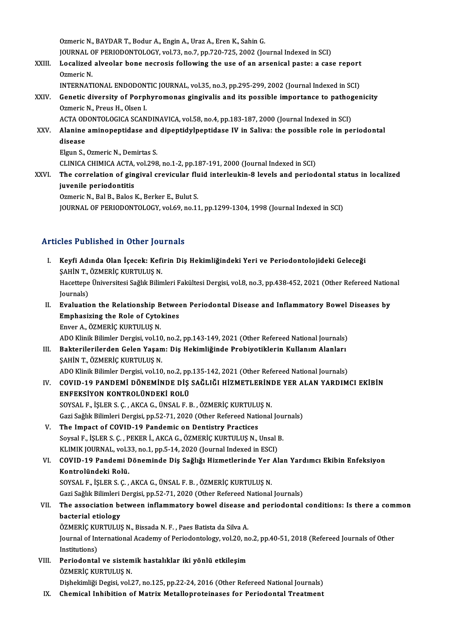Ozmeric N., BAYDAR T., Bodur A., Engin A., Uraz A., Eren K., Sahin G. Ozmeric N., BAYDAR T., Bodur A., Engin A., Uraz A., Eren K., Sahin G.<br>JOURNAL OF PERIODONTOLOGY, vol.73, no.7, pp.720-725, 2002 (Journal Indexed in SCI)<br>Logalized alveelar bane nosresis following the use of an arsonisel pe Ozmeric N., BAYDAR T., Bodur A., Engin A., Uraz A., Eren K., Sahin G.<br>JOURNAL OF PERIODONTOLOGY, vol.73, no.7, pp.720-725, 2002 (Journal Indexed in SCI)<br>XXIII. Localized alveolar bone necrosis following the use of an arsen

**JOURNAL C<br>Localized<br>Ozmeric N.<br>INTEDNAT** Localized alveolar bone necrosis following the use of an arsenical paste: a case report<br>Ozmeric N.<br>INTERNATIONAL ENDODONTIC JOURNAL, vol.35, no.3, pp.295-299, 2002 (Journal Indexed in SCI)<br>Constis diversity of Bernhyromana

Ozmeric N.<br>INTERNATIONAL ENDODONTIC JOURNAL, vol.35, no.3, pp.295-299, 2002 (Journal Indexed in SCI)<br>XXIV. Genetic diversity of Porphyromonas gingivalis and its possible importance to pathogenicity<br>Ormeric N. Preus H. O INTERNATIONAL ENDODONTIC JOURNAL, vol.35, no.3, pp.295-299, 2002 (Journal Indexed in SCI)<br>Genetic diversity of Porphyromonas gingivalis and its possible importance to pathoger<br>Ozmeric N., Preus H., Olsen I.<br>ACTA ODONTOLOGI Genetic diversity of Porphyromonas gingivalis and its possible importance to pathogonalized by the Samuel Comm<br>ACTA ODONTOLOGICA SCANDINAVICA, vol.58, no.4, pp.183-187, 2000 (Journal Indexed in SCI)<br>Alanine aminenentidate

Ozmeric N., Preus H., Olsen I.<br>ACTA ODONTOLOGICA SCANDINAVICA, vol.58, no.4, pp.183-187, 2000 (Journal Indexed in SCI)<br>XXV. Alanine aminopeptidase and dipeptidylpeptidase IV in Saliva: the possible role in periodontal<br>dise ACTA OD<br><mark>Alanine</mark><br>disease<br>Elgun S

Alanine aminopeptidase and<br>disease<br>Elgun S., Ozmeric N., Demirtas S.<br>CLINICA CHIMICA ACTA, vol.209 disease<br>Elgun S., Ozmeric N., Demirtas S.<br>CLINICA CHIMICA ACTA, vol.298, no.1-2, pp.187-191, 2000 (Journal Indexed in SCI)

Elgun S., Ozmeric N., Demirtas S.<br>CLINICA CHIMICA ACTA, vol.298, no.1-2, pp.187-191, 2000 (Journal Indexed in SCI)<br>XXVI. The correlation of gingival crevicular fluid interleukin-8 levels and periodontal status in localized juvenile periodontitis<br>Ozmeric N., Bal B., Balos K., Berker E., Bulut S. The correlation of gingival crevicular flu<br>juvenile periodontitis<br>Ozmeric N., Bal B., Balos K., Berker E., Bulut S.<br>JOUPMAL OF PERJODONTOLOGY vel 60 no 11

JOURNAL OF PERIODONTOLOGY, vol.69, no.11, pp.1299-1304, 1998 (Journal Indexed in SCI)

## Articles Published in Other Journals

- I. Keyfi Adında Ölan İçecek: Kefirin Diş Hekimliğindeki Yeri ve Periodontolojideki Geleceği<br>I. Keyfi Adında Olan İçecek: Kefirin Diş Hekimliğindeki Yeri ve Periodontolojideki Geleceği<br>SAHİN T. ÖZMERİC KURTULUS N SEEF ABHENCA IN CENET JOA<br>Keyfi Adında Olan İçecek: Kefi<br>ŞAHİN T., ÖZMERİÇ KURTULUŞ N.<br>Hacettana Üniversitesi Sağlık Bilim Keyfi Adında Olan İçecek: Kefirin Diş Hekimliğindeki Yeri ve Periodontolojideki Geleceği<br>ŞAHİN T., ÖZMERİÇ KURTULUŞ N.<br>Hacettepe Üniversitesi Sağlık Bilimleri Fakültesi Dergisi, vol.8, no.3, pp.438-452, 2021 (Other Referee SAHIN T.,<br>Hacettepe<br>Journals)<br>Eveluatie Journals)<br>II. Evaluation the Relationship Between Periodontal Disease and Inflammatory Bowel Diseases by Journals)<br>Evaluation the Relationship Betwee<br>Emphasizing the Role of Cytokines<br>Enver A. ÖZMERIC KURTULUS N
- Evaluation the Relationship B<br>Emphasizing the Role of Cyto:<br>Enver A., ÖZMERİÇ KURTULUŞ N.<br>ADO Klinik Bilimler Dergisi vel 16 Enver A., ÖZMERİÇ KURTULUŞ N.<br>ADO Klinik Bilimler Dergisi, vol.10, no.2, pp.143-149, 2021 (Other Refereed National Journals)
- III. Bakterilerilerden Gelen Yaşam: Diş Hekimliğinde Probiyotiklerin Kullanım Alanları ŞAHİN T., ÖZMERİÇ KURTULUŞ N.

ADO Klinik Bilimler Dergisi, vol.10, no.2, pp.135-142, 2021 (Other Refereed National Journals)

- ŞAHİN T., ÖZMERİÇ KURTULUŞ N.<br>ADO Klinik Bilimler Dergisi, vol.10, no.2, pp.135-142, 2021 (Other Refereed National Journals)<br>IV. COVID-19 PANDEMİ DÖNEMİNDE DİŞ SAĞLIĞI HİZMETLERİNDE YER ALAN YARDIMCI EKİBİN<br>ENEEKSİYON ADO Klinik Bilimler Dergisi, vol.10, no.2, pp<br>COVID-19 PANDEMİ DÖNEMİNDE DİŞ<br>ENFEKSİYON KONTROLÜNDEKİ ROLÜ<br>SOVSALE İSLEDS G. AKÇA Ç. ÜNSALE E COVID-19 PANDEMİ DÖNEMİNDE DİŞ SAĞLIĞI HİZMETLERİNI<br>ENFEKSİYON KONTROLÜNDEKİ ROLÜ<br>SOYSAL F., İŞLER S. Ç. , AKCA G., ÜNSAL F. B. , ÖZMERİÇ KURTULUŞ N.<br>Cari Sağlıl Bilimleri Dargisi np 52.71.2020 (Other Befereed National ENFEKSİYON KONTROLÜNDEKİ ROLÜ<br>SOYSAL F., İŞLER S. Ç. , AKCA G., ÜNSAL F. B. , ÖZMERİÇ KURTULUŞ N.<br>Gazi Sağlık Bilimleri Dergisi, pp.52-71, 2020 (Other Refereed National Journals)<br>The Impact of COVID 19 Bandamia op Dantistr SOYSAL F., İŞLER S. Ç. , AKCA G., ÜNSAL F. B. , ÖZMERİÇ KURTULUŞ N.<br>Gazi Sağlık Bilimleri Dergisi, pp.52-71, 2020 (Other Refereed National<br>V. The Impact of COVID-19 Pandemic on Dentistry Practices
- Gazi Sağlık Bilimleri Dergisi, pp.52-71, 2020 (Other Refereed National Jou<br>The Impact of COVID-19 Pandemic on Dentistry Practices<br>Soysal F., İŞLER S. Ç., PEKER İ., AKCA G., ÖZMERİÇ KURTULUŞ N., Unsal B.<br>KLIMIK JOUPNAL vel Soysal F., İŞLER S. Ç. , PEKER İ., AKCA G., ÖZMERİÇ KURTULUŞ N., Unsal B.<br>KLIMIK JOURNAL, vol.33, no.1, pp.5-14, 2020 (Journal Indexed in ESCI)

Soysal F., İŞLER S. Ç. , PEKER İ., AKCA G., ÖZMERİÇ KURTULUŞ N., Unsal B.<br>KLIMIK JOURNAL, vol.33, no.1, pp.5-14, 2020 (Journal Indexed in ESCI)<br>VI. COVID-19 Pandemi Döneminde Diş Sağlığı Hizmetlerinde Yer Alan Yardımcı KLIMIK JOURNAL, vol.3<br>COVID-19 Pandemi I<br>Kontrolündeki Rolü.<br>SOVSAL E. İSLER S.C Kontrolündeki Rolü.<br>SOYSAL F., İŞLER S. Ç. , AKCA G., ÜNSAL F. B. , ÖZMERİÇ KURTULUŞ N. Kontrolündeki Rolü.<br>SOYSAL F., İŞLER S. Ç. , AKCA G., ÜNSAL F. B. , ÖZMERİÇ KURTULUŞ N.<br>Gazi Sağlık Bilimleri Dergisi, pp.52-71, 2020 (Other Refereed National Journals)<br>The association between inflammatery bowel disease an

## VII. The association between inflammatory bowel disease and periodontal conditions: Is there a common bacterial etiology Gazi Sağlık Bilimleri<br>The association be<br>bacterial etiology<br>ÖZMEDİC KUPTULUS The association between inflammatory bowel disease a<br>bacterial etiology<br>ÖZMERİÇ KURTULUŞ N., Bissada N. F. , Paes Batista da Silva A.<br>Journal of International Asademy of Beriedentelegy vel 30 m

Journal of International Academy of Periodontology, vol.20, no.2, pp.40-51, 2018 (Refereed Journals of Other<br>Institutions) ÖZMERİÇ KU<br>Journal of Int<br>Institutions)<br>Periodental Journal of International Academy of Periodontology, vol.20, no<br>Institutions)<br>VIII. Periodontal ve sistemik hastalıklar iki yönlü etkileşim<br>ÖZMERİC KURTULUS N

- Institutions)<br>Periodontal ve sistem<br>ÖZMERİÇ KURTULUŞ N.<br>Dishekimliği Degisi vel Periodontal ve sistemik hastalıklar iki yönlü etkileşim<br>ÖZMERİÇ KURTULUŞ N.<br>Dişhekimliği Degisi, vol.27, no.125, pp.22-24, 2016 (Other Refereed National Journals)<br>Chemisel Inhibition of Matriy Matellenneteinases for Beriod ÖZMERİÇ KURTULUŞ N.<br>Dişhekimliği Degisi, vol.27, no.125, pp.22-24, 2016 (Other Refereed National Journals)<br>IX. Chemical Inhibition of Matrix Metalloproteinases for Periodontal Treatment
-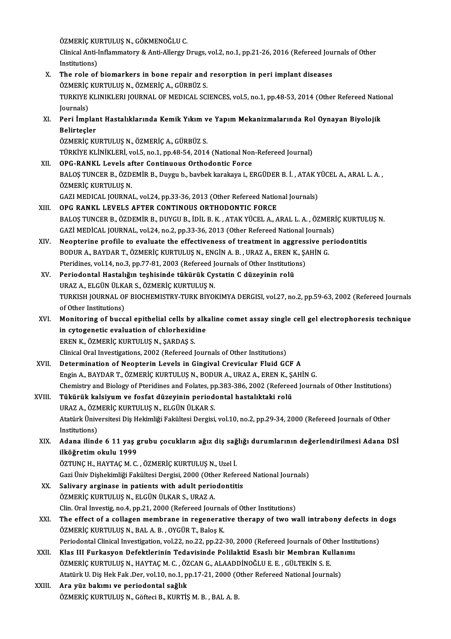ÖZMERİÇ KURTULUŞ N., GÖKMENOĞLU C.<br>Clinical Anti Inflammatoru & Anti Allangu I

Clinical Anti-Inflammatory & Anti-Allergy Drugs, vol.2, no.1, pp.21-26, 2016 (Refereed Journals of Other<br>Institutions) ÖZMERİÇ KU<br>Clinical Anti-l<br>Institutions)<br>The role of

Clinical Anti-Inflammatory & Anti-Allergy Drugs, vol.2, no.1, pp.21-26, 2016 (Refereed Jou<br>Institutions)<br>X. The role of biomarkers in bone repair and resorption in peri implant diseases<br>
ÖZMEDIC MURTULUS N. ÖZMEDIC A. CÜDB Institutions)<br>The role of biomarkers in bone repair and<br>ÖZMERİÇ KURTULUŞ N., ÖZMERİÇ A., GÜRBÜZ S.<br>TURKIYE KI INIKI ERLIQURNAL OF MEDICAL SCI The role of biomarkers in bone repair and resorption in peri implant diseases<br>ÖZMERİÇ KURTULUŞ N., ÖZMERİÇ A., GÜRBÜZ S.<br>TURKIYE KLINIKLERI JOURNAL OF MEDICAL SCIENCES, vol.5, no.1, pp.48-53, 2014 (Other Refereed National<br> ÖZMERİÇ<br>TURKIYE |<br>Journals)<br>Peri İmpl TURKIYE KLINIKLERI JOURNAL OF MEDICAL SCIENCES, vol.5, no.1, pp.48-53, 2014 (Other Refereed Nationalis)<br>Journals)<br>XI. Peri İmplant Hastalıklarında Kemik Yıkım ve Yapım Mekanizmalarında Rol Oynayan Biyolojik<br>Politiceler Journals)<br>XI. Peri İmplant Hastalıklarında Kemik Yıkım ve Yapım Mekanizmalarında Rol Oynayan Biyolojik<br>Belirtecler ÖZMERİÇ KURTULUŞ N., ÖZMERİÇ A., GÜRBÜZ S. TÜRKİYE KLİNİKLERİ, vol.5, no.1, pp.48-54, 2014 (National Non-Refereed Journal) XII. OPG-RANKL Levels after Continuous Orthodontic Force TÜRKİYE KLİNİKLERİ, vol.5, no.1, pp.48-54, 2014 (National Non-Refereed Journal)<br>OPG-RANKL Levels after Continuous Orthodontic Force<br>BALOŞ TUNCER B., ÖZDEMİR B., Duygu b., bavbek karakaya i., ERGÜDER B. İ. , ATAK YÜCEL A., OPG-RANKL Levels af<br>BALOŞ TUNCER B., ÖZD<br>ÖZMERİÇ KURTULUŞ N.<br>CAZI MEDICAL IQUPNA ÖZMERİÇ KURTULUŞ N.<br>GAZI MEDICAL JOURNAL, vol.24, pp.33-36, 2013 (Other Refereed National Journals) XIII. OPG RANKL LEVELS AFTER CONTINOUS ORTHODONTIC FORCE BALOŞ TUNCER B., ÖZDEMİR B., DUYGU B., İDİL B. K., ATAK YÜCEL A., ARAL L. A., ÖZMERİÇ KURTULUŞ N. OPG RANKL LEVELS AFTER CONTINOUS ORTHODONTIC FORCE<br>BALOŞ TUNCER B., ÖZDEMİR B., DUYGU B., İDİL B. K. , ATAK YÜCEL A., ARAL L. A. , ÖZMERİ<br>GAZİ MEDİCAL JOURNAL, vol.24, no.2, pp.33-36, 2013 (Other Refereed National Journals XIV. Neopterine profile to evaluate the effectiveness of treatment in aggressive periodontitis GAZİ MEDİCAL JOURNAL, vol.24, no.2, pp.33-36, 2013 (Other Refereed National Journals<br>Neopterine profile to evaluate the effectiveness of treatment in aggressive pe<br>BODUR A., BAYDAR T., ÖZMERİÇ KURTULUŞ N., ENGİN A. B., URA Neopterine profile to evaluate the effectiveness of treatment in aggress<br>BODUR A., BAYDAR T., ÖZMERİÇ KURTULUŞ N., ENGİN A. B. , URAZ A., EREN K., Ş.<br>Pteridines, vol.14, no.3, pp.77-81, 2003 (Refereed Journals of Other Ins BODUR A., BAYDAR T., ÖZMERİÇ KURTULUŞ N., ENGİN A. B. , URAZ A., EREN K<br>Pteridines, vol.14, no.3, pp.77-81, 2003 (Refereed Journals of Other Institution<br>XV. Periodontal Hastalığın teşhisinde tükürük Cystatin C düzeyinin ro Pteridines, vol.14, no.3, pp.77-81, 2003 (Refereed J.<br>Periodontal Hastalığın teşhisinde tükürük Cy.<br>URAZ A., ELGÜN ÜLKAR S., ÖZMERİÇ KURTULUŞ N.<br>TURKISH JOURNAL OF RIOCHEMISTRY TURK RIYOL Periodontal Hastalığın teşhisinde tükürük Cystatin C düzeyinin rolü<br>URAZ A., ELGÜN ÜLKAR S., ÖZMERİÇ KURTULUŞ N.<br>TURKISH JOURNAL OF BIOCHEMISTRY-TURK BIYOKIMYA DERGISI, vol.27, no.2, pp.59-63, 2002 (Refereed Journals<br>of Ot URAZ A., ELGÜN ÜLKA<br>TURKISH JOURNAL OI<br>of Other Institutions)<br>Monitoring of bugg TURKISH JOURNAL OF BIOCHEMISTRY-TURK BIYOKIMYA DERGISI, vol.27, no.2, pp.59-63, 2002 (Refereed Journals<br>of Other Institutions)<br>XVI. Monitoring of buccal epithelial cells by alkaline comet assay single cell gel electrophore of Other Institutions)<br>Monitoring of buccal epithelial cells by alk<br>in cytogenetic evaluation of chlorhexidine<br>FREN K. ÖZMERİC KURTULUS N. SARDAS S Monitoring of buccal epithelial cells by<br>in cytogenetic evaluation of chlorhexidi<br>EREN K., ÖZMERİÇ KURTULUŞ N., ŞARDAŞ S.<br>Clinical Oral Investigations, 2002. (Beforeed I in cytogenetic evaluation of chlorhexidine<br>EREN K., ÖZMERİÇ KURTULUŞ N., ŞARDAŞ S.<br>Clinical Oral Investigations, 2002 (Refereed Journals of Other Institutions)<br>Determination of Neontenin Levels in Gingivel Crevieuler Eluid EREN K., ÖZMERIÇ KURTULUŞ N., ŞARDAŞ S.<br>Clinical Oral Investigations, 2002 (Refereed Journals of Other Institutions)<br>XVII. Determination of Neopterin Levels in Gingival Crevicular Fluid GCF A Clinical Oral Investigations, 2002 (Refereed Journals of Other Institutions)<br>Determination of Neopterin Levels in Gingival Crevicular Fluid GCF A<br>Engin A., BAYDAR T., ÖZMERİÇ KURTULUŞ N., BODUR A., URAZ A., EREN K., ŞAHİN Determination of Neopterin Levels in Gingival Crevicular Fluid GCF A<br>Engin A., BAYDAR T., ÖZMERİÇ KURTULUŞ N., BODUR A., URAZ A., EREN K., ŞAHİN G.<br>Chemistry and Biology of Pteridines and Folates, pp.383-386, 2002 (Referee Engin A., BAYDAR T., ÖZMERİÇ KURTULUŞ N., BODUR A., URAZ A., EREN K., ŞAHİN G.<br>Chemistry and Biology of Pteridines and Folates, pp.383-386, 2002 (Refereed Journa<br>XVIII. Tükürük kalsiyum ve fosfat düzeyinin periodontal Chemistry and Biology of Pteridines and Folates, p<br>Tükürük kalsiyum ve fosfat düzeyinin period<br>URAZ A., ÖZMERİÇ KURTULUŞ N., ELGÜN ÜLKAR S.<br>Atatürk Üniversitesi Dis Hekimliği Fekültesi Dersisi Tükürük kalsiyum ve fosfat düzeyinin periodontal hastalıktaki rolü<br>URAZ A., ÖZMERİÇ KURTULUŞ N., ELGÜN ÜLKAR S.<br>Atatürk Üniversitesi Diş Hekimliği Fakültesi Dergisi, vol.10, no.2, pp.29-34, 2000 (Refereed Journals of Other URAZ A., ÖZN<br>Atatürk Ünive<br>Institutions)<br>Adana ilind Atatürk Üniversitesi Diş Hekimliği Fakültesi Dergisi, vol.10, no.2, pp.29-34, 2000 (Refereed Journals of Other<br>Institutions)<br>XIX. Adana ilinde 6 11 yaş grubu çocukların ağız diş sağlığı durumlarının değerlendirilmesi Adana Institutions)<br>Adana ilinde 6 11 yaş g<br>ilköğretim okulu 1999<br>ÖZTUNC H. HAYTACM C Adana ilinde 6 11 yaş grubu çocukların ağız diş sağ<br>ilköğretim okulu 1999<br>ÖZTUNÇ H., HAYTAÇ M. C. , ÖZMERİÇ KURTULUŞ N., Uzel İ.<br>Çari Üniy Dishekimliği Fekültesi Dergisi 2000 (Other Befel ilk<mark>öğretim okulu 1999</mark><br>ÖZTUNÇ H., HAYTAÇ M. C. , ÖZMERİÇ KURTULUŞ N., Uzel İ.<br>Gazi Üniv Dişhekimliği Fakültesi Dergisi, 2000 (Other Refereed National Journals) ÖZTUNÇ H., HAYTAÇ M. C. , ÖZMERİÇ KURTULUŞ N., Uzel İ.<br>Gazi Üniv Dişhekimliği Fakültesi Dergisi, 2000 (Other Refere<br>XX. Salivary arginase in patients with adult periodontitis<br>ÖZMERİC KURTULUS N. ELGÜN ÜLKAR S. URAZ A Salivary arginase in patients with adult periodontitis<br>ÖZMERİÇ KURTULUŞ N., ELGÜN ÜLKAR S., URAZ A. Salivary arginase in patients with adult periodontitis<br>ÖZMERİÇ KURTULUŞ N., ELGÜN ÜLKAR S., URAZ A.<br>Clin. Oral Investig, no.4, pp.21, 2000 (Refereed Journals of Other Institutions)<br>The effect of a sollagen membrane in rege ÖZMERİÇ KURTULUŞ N., ELGÜN ÜLKAR S., URAZ A.<br>Clin. Oral Investig, no.4, pp.21, 2000 (Refereed Journals of Other Institutions)<br>XXI. The effect of a collagen membrane in regenerative therapy of two wall intrabony defects in Clin. Oral Investig, no.4, pp.21, 2000 (Refereed Journal<br>The effect of a collagen membrane in regenerat<br>ÖZMERİÇ KURTULUŞ N., BAL A. B. , OYGÜR T., Baloş K.<br>Periodental Clinical Investigation vol 22, no.22, nn.22 The effect of a collagen membrane in regenerative therapy of two wall intrabony defects in (<br>ÖZMERİÇ KURTULUŞ N., BAL A. B. , OYGÜR T., Baloş K.<br>Periodontal Clinical Investigation, vol.22, no.22, pp.22-30, 2000 (Refereed J ÖZMERİÇ KURTULUŞ N., BAL A. B. , OYGÜR T., Baloş K.<br>Periodontal Clinical Investigation, vol.22, no.22, pp.22-30, 2000 (Refereed Journals of Other Institutions)<br>XXII. Klas III Furkasyon Defektlerinin Tedavisinde Polilak Periodontal Clinical Investigation, vol.22, no.22, pp.22-30, 2000 (Refereed Journals of Oth<br>Klas III Furkasyon Defektlerinin Tedavisinde Polilaktid Esaslı bir Membran Ku<br>ÖZMERİÇ KURTULUŞ N., HAYTAÇ M. C. , ÖZCAN G., ALAADD Klas III Furkasyon Defektlerinin Tedavisinde Polilaktid Esaslı bir Membran Kullar<br>ÖZMERİÇ KURTULUŞ N., HAYTAÇ M. C. , ÖZCAN G., ALAADDİNOĞLU E. E. , GÜLTEKİN S. E.<br>Atatürk U. Diş Hek Fak .Der, vol.10, no.1, pp.17-21, 2000 XXIII. Ara yüz bakımı ve periodontal sağlık<br>ÖZMERİÇ KURTULUŞ N., Göfteci B., KURTİŞ M. B., BAL A. B. Atatürk U. Diş Hek Fak. Der, vol.10, no.1, pp.17-21, 2000 (Other Refereed National Journals)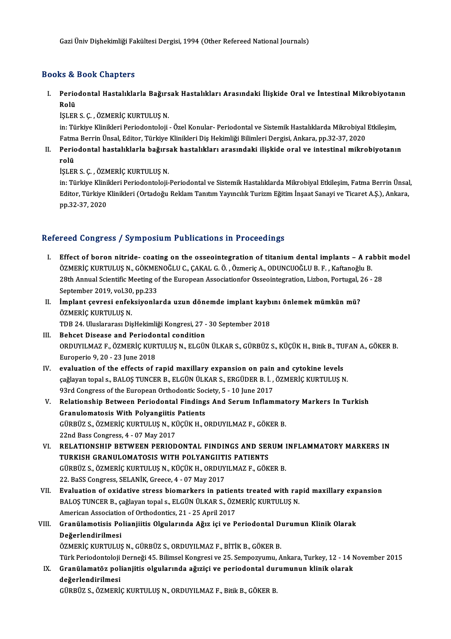Gazi Üniv Dişhekimliği Fakültesi Dergisi, 1994 (Other Refereed National Journals)

## Books&Book Chapters

00ks & Book Chapters<br>I. Periodontal Hastalıklarla Bağırsak Hastalıkları Arasındaki İlişkide Oral ve İntestinal Mikrobiyotanın<br>Rolü rs & :<br>Perio<br>Rolü<br>isı EP Rolü<br>İŞLER S. Ç. , ÖZMERİÇ KURTULUŞ N.

Rolü<br>İŞLER S. Ç. , ÖZMERİÇ KURTULUŞ N.<br>İn: Türkiye Klinikleri Periodontoloji - Özel Konular- Periodontal ve Sistemik Hastalıklarda Mikrobiyal Etkileşim,<br>Fatma Perrin Ünsel, Editer, Türkiye Klinikleri Diş Hekimliği Bilimler İŞLER S. Ç. , ÖZMERİÇ KURTULUŞ N.<br>in: Türkiye Klinikleri Periodontoloji - Özel Konular- Periodontal ve Sistemik Hastalıklarda Mikrobiyal<br>Fatma Berrin Ünsal, Editor, Türkiye Klinikleri Diş Hekimliği Bilimleri Dergisi, Ankar in: Türkiye Klinikleri Periodontoloji - Özel Konular- Periodontal ve Sistemik Hastalıklarda Mikrobiyal Etkileşim,<br>Fatma Berrin Ünsal, Editor, Türkiye Klinikleri Diş Hekimliği Bilimleri Dergisi, Ankara, pp.32-37, 2020<br>II. P

Fatm<mark>:</mark><br>Peric<br>rolü<br>isı en Periodontal hastalıklarla bağırs<br>rolü<br>İŞLER S. Ç. , ÖZMERİÇ KURTULUŞ N.<br>in: Türkiye Klinikleri Periodontaleji

rolü<br>İŞLER S. Ç. , ÖZMERİÇ KURTULUŞ N.<br>in: Türkiye Klinikleri Periodontoloji-Periodontal ve Sistemik Hastalıklarda Mikrobiyal Etkileşim, Fatma Berrin Ünsal,<br>Editor Türkiye Klinikleri (Ortadoğu Beklam Tanıtım Yayıngılık Tur İŞLER S. Ç. , ÖZMERİÇ KURTULUŞ N.<br>in: Türkiye Klinikleri Periodontoloji-Periodontal ve Sistemik Hastalıklarda Mikrobiyal Etkileşim, Fatma Berrin Ünsal<br>Editor, Türkiye Klinikleri (Ortadoğu Reklam Tanıtım Yayıncılık Turizm E in: Türkiye Klini<br>Editor, Türkiye l<br>pp.32-37, 2020

# pp.32-37, 2020<br>Refereed Congress / Symposium Publications in Proceedings

- I. Effect of boron nitride- coating on the osseointegration of titaniumdental implants A rabbitmodel Foca Gongress / Symposium i usineations in i recedentge<br>Effect of boron nitride- coating on the osseointegration of titanium dental implants – A ra<br>ÖZMERİÇ KURTULUŞ N., GÖKMENOĞLU C., ÇAKAL G.Ö., Özmeriç A., ODUNCUOĞLU B. 28th Annual Scientific Meeting of the European Associationfor Osseointegration, Lizbon, Portugal, 26 - 28 ÖZMERİÇ KURTULUŞ N., GÖKME<br>28th Annual Scientific Meeting of<br>September 2019, vol.30, pp.233<br>İmplant ceuresi orfaksiyanla September 2019, vol.30, pp.233
- II. İmplant çevresi enfeksiyonlarda uzun dönemde implant kaybını önlemek mümkün mü?<br>ÖZMERİC KURTULUS N. İmplant çevresi enfeksiyonlarda uzun dönemde implant kayb<br>ÖZMERİÇ KURTULUŞ N.<br>TDB 24. Uluslararası DişHekimliği Kongresi, 27 - 30 September 2018<br>Beheet Disease and Beriedental sendition
- ÖZMERİÇ KURTULUŞ N.<br>IDB 24. Uluslararası DişHekimliği Kongresi, 27 -<br>III. Behcet Disease and Periodontal condition<br>OPDIWU MAZ E. ÖZMERİÇ KURTULUS N. ELÇÜN TDB 24. Uluslararası DişHekimliği Kongresi, 27 - 30 September 2018<br>Behcet Disease and Periodontal condition<br>ORDUYILMAZ F., ÖZMERİÇ KURTULUŞ N., ELGÜN ÜLKAR S., GÜRBÜZ S., KÜÇÜK H., Bitik B., TUFAN A., GÖKER B.<br>Europerio 0, Behcet Disease and Periodo<br>ORDUYILMAZ F., ÖZMERİÇ KUR<br>Europerio 9, 20 - 23 June 2018<br>evaluation of the offects of r ORDUYILMAZ F., ÖZMERİÇ KURTULUŞ N., ELGÜN ÜLKAR S., GÜRBÜZ S., KÜÇÜK H., Bitik B., TU<br>Europerio 9, 20 - 23 June 2018<br>IV. evaluation of the effects of rapid maxillary expansion on pain and cytokine levels<br>co<sup>xi</sup>leven topels
- Europerio 9, 20 23 June 2018<br>evaluation of the effects of rapid maxillary expansion on pain and cytokine levels<br>çağlayan topal s., BALOŞ TUNCER B., ELGÜN ÜLKAR S., ERGÜDER B. İ. , ÖZMERİÇ KURTULUŞ N.<br>93rd Congress of the evaluation of the effects of rapid maxillary expansion on pain<br>çağlayan topal s., BALOŞ TUNCER B., ELGÜN ÜLKAR S., ERGÜDER B. İ. ,<br>93rd Congress of the European Orthodontic Society, 5 - 10 June 2017<br>Pelstianskin Betysen Be çağlayan topal s., BALOŞ TUNCER B., ELGÜN ÜLKAR S., ERGÜDER B. İ. , ÖZMERİÇ KURTULUŞ N.<br>93rd Congress of the European Orthodontic Society, 5 - 10 June 2017<br>V. Relationship Between Periodontal Findings And Serum Inflammator
- 93rd Congress of the European Orthodontic Soc<br>Relationship Between Periodontal Finding<br>Granulomatosis With Polyangiitis Patients<br>Cüppüz s. ÖΖΜΕΡΙΟ ΚΗΡΤΗΗ Η ΚΑΙ ΚÜCÜΚΗ Ο Relationship Between Periodontal Findings And Serum Inflammat<br>Granulomatosis With Polyangiitis Patients<br>GÜRBÜZ S., ÖZMERİÇ KURTULUŞ N., KÜÇÜK H., ORDUYILMAZ F., GÖKER B.<br>22nd Bass Congress 4 - 07 May 2017 Granulomatosis With Polyangiitis Patients<br>GÜRBÜZ S., ÖZMERİÇ KURTULUŞ N., KÜÇÜK H., ORDUYILMAZ F., GÖKER B.<br>22nd Bass Congress, 4 - 07 May 2017 GÜRBÜZ S., ÖZMERİÇ KURTULUŞ N., KÜÇÜK H., ORDUYILMAZ F., GÖKER B.<br>22nd Bass Congress, 4 - 07 May 2017<br>VI. RELATIONSHIP BETWEEN PERIODONTAL FINDINGS AND SERUM INFLAMMATORY MARKERS IN<br>TURKISH CRANIU OMATOSIS WITH POLYANCUTIS
- 22nd Bass Congress, 4 07 May 2017<br>RELATIONSHIP BETWEEN PERIODONTAL FINDINGS AND SEF<br>TURKISH GRANULOMATOSIS WITH POLYANGIITIS PATIENTS<br>CÜRPÜZ S. ÖZMERIC KURTULUS N. KÜÇÜK H. ORDUVU MAZ E. CÖK RELATIONSHIP BETWEEN PERIODONTAL FINDINGS AND SERUM I<br>TURKISH GRANULOMATOSIS WITH POLYANGIITIS PATIENTS<br>GÜRBÜZ S., ÖZMERİÇ KURTULUŞ N., KÜÇÜK H., ORDUYILMAZ F., GÖKER B.<br>22. PeSS Congress, SELANİK, Creese 4., 07. May 2017 TURKISH GRANULOMATOSIS WITH POLYANGIITI<br>GÜRBÜZ S., ÖZMERİÇ KURTULUŞ N., KÜÇÜK H., ORDUY<br>22. BaSS Congress, SELANİK, Greece, 4 - 07 May 2017<br>Evaluation of exidative stress biomarkars in pat 22. BaSS Congress, SELANIK, Greece, 4 - 07 May 2017<br>VII. Evaluation of oxidative stress biomarkers in patients treated with rapid maxillary expansion
- 22. BaSS Congress, SELANİK, Greece, 4 07 May 2017<br>Evaluation of oxidative stress biomarkers in patients treated with raj<br>BALOŞ TUNCER B., çağlayan topal s., ELGÜN ÜLKAR S., ÖZMERİÇ KURTULUŞ N.<br>American Association of Ort Evaluation of oxidative stress biomarkers in patien<br>BALOŞ TUNCER B., çağlayan topal s., ELGÜN ÜLKAR S., ÖZI<br>American Association of Orthodontics, 21 - 25 April 2017<br>Cranülametisis Bolianijitis Olaulanında Ağız isi ve B BALOŞ TUNCER B., çağlayan topal s., ELGÜN ÜLKAR S., ÖZMERİÇ KURTULUŞ N.<br>American Association of Orthodontics, 21 - 25 April 2017<br>VIII. Granülamotisis Polianjiitis Olgularında Ağız içi ve Periodontal Durumun Klinik Olar
- American Association of Orthodontics, 21 25 April 2017<br>Granülamotisis Polianjiitis Olgularında Ağız içi ve Periodontal Dı<br>Değerlendirilmesi<br>ÖZMERİÇ KURTULUŞ N., GÜRBÜZ S., ORDUYILMAZ F., BİTİK B., GÖKER B. Granülamotisis Polianjiitis Olgularında Ağız içi ve Periodontal D<br>Değerlendirilmesi<br>ÖZMERİÇ KURTULUŞ N., GÜRBÜZ S., ORDUYILMAZ F., BİTİK B., GÖKER B.<br>Türk Periodontaleji Derneği 45 Bilimesi Kongresi ve 25 Semnegyumu A

TürkPeriodontolojiDerneği45.BilimselKongresive 25.Sempozyumu,Ankara,Turkey,12 -14November 2015

ÖZMERİÇ KURTULUŞ N., GÜRBÜZ S., ORDUYILMAZ F., BİTİK B., GÖKER B.<br>Türk Periodontoloji Derneği 45. Bilimsel Kongresi ve 25. Sempozyumu, Ankara, Turkey, 12 - 14 N<br>IX. Granülamatöz polianjitis olgularında ağıziçi ve periodont Türk Periodontoloji<br>Granülamatöz pol<br>değerlendirilmesi<br>Cüppüz s. ÖzMEPi Granülamatöz polianjitis olgularında ağıziçi ve periodontal dur<br>değerlendirilmesi<br>GÜRBÜZ S., ÖZMERİÇ KURTULUŞ N., ORDUYILMAZ F., Bitik B., GÖKER B.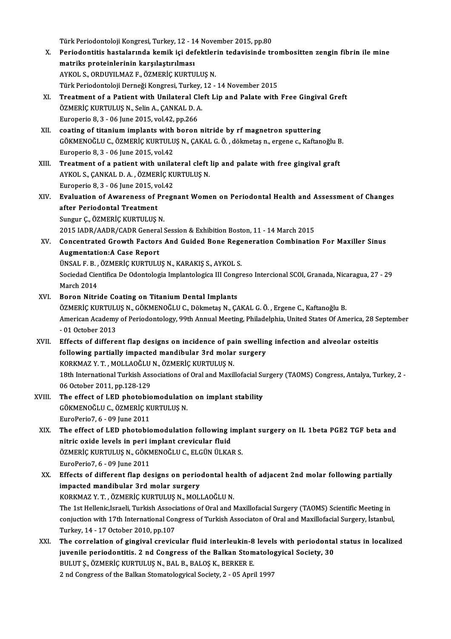Türk Periodontoloji Kongresi, Turkey, 12 - 14 November 2015, pp.80<br>Periodontitis hastalarında kamik isi dafaktların tadayisinde tr

- Türk Periodontoloji Kongresi, Turkey, 12 14 November 2015, pp.80<br>X. Periodontitis hastalarında kemik içi defektlerin tedavisinde trombositten zengin fibrin ile mine<br>matriks anatoinlerinin karsılastırılması Türk Periodontoloji Kongresi, Turkey, 12 - 1<br>Periodontitis hastalarında kemik içi def<br>matriks proteinlerinin karşılaştırılması<br>AYKOL S. OPDUVU MAZ E. ÖZMERİÇ KURTU Periodontitis hastalarında kemik içi defektler<br>matriks proteinlerinin karşılaştırılması<br>AYKOL S., ORDUYILMAZ F., ÖZMERİÇ KURTULUŞ N.<br>Türk Periodonteleji Derneği Kengresi Turkey, 12 matriks proteinlerinin karşılaştırılması<br>AYKOL S., ORDUYILMAZ F., ÖZMERİÇ KURTULUŞ N.<br>Türk Periodontoloji Derneği Kongresi, Turkey, 12 - 14 November 2015
- XI. Treatment of a Patientwith Unilateral Cleft Lip and Palate with Free Gingival Greft Türk Periodontoloji Derneği Kongresi, Turkey,<br>Treatment of a Patient with Unilateral Cle<br>ÖZMERİÇ KURTULUŞ N., Selin A., ÇANKAL D. A.<br>Furonerio 8.3., 06 June 2015, vol 42.np.266 Treatment of a Patient with Unilateral Cl<br>ÖZMERİÇ KURTULUŞ N., Selin A., ÇANKAL D. A<br>Europerio 8, 3 - 06 June 2015, vol.42, pp.266<br>seating of titanium implants with boron ÖZMERİÇ KURTULUŞ N., Selin A., ÇANKAL D. A.<br>Europerio 8, 3 - 06 June 2015, vol.42, pp.266<br>XII. coating of titanium implants with boron nitride by rf magnetron sputtering<br>CÖYMENOČLU C. ÖZMERİC YURTULUS N. CAKAL C. Ö. dölmet
- Europerio 8, 3 06 June 2015, vol.42, pp.266<br>coating of titanium implants with boron nitride by rf magnetron sputtering<br>GÖKMENOĞLU C., ÖZMERİÇ KURTULUŞ N., ÇAKAL G. Ö. , dökmetaş n., ergene c., Kaftanoğlu B.<br>Europerio 8, coating of titanium implants with<br>GÖKMENOĞLU C., ÖZMERİÇ KURTULU<br>Europerio 8, 3 - 06 June 2015, vol.42<br>Treatment of a nationt with unilai GÖKMENOĞLU C., ÖZMERİÇ KURTULUŞ N., ÇAKAL G. Ö. , dökmetaş n., ergene c., Kaftanoğlu B.<br>Europerio 8, 3 - 06 June 2015, vol.42<br>XIII. Treatment of a patient with unilateral cleft lip and palate with free gingival graft<br>A
- Treatment of a patient with unilateral cleft lip and palate with free gingival graft Europerio 8, 3 - 06 June 2015, vol 42 XIV. Evaluation of Awareness of PregnantWomen on Periodontal Health and Assessment of Changes
- Europerio 8, 3 06 June 2015, ve<br>Evaluation of Awareness of I<br>after Periodontal Treatment<br>Sungur G. ÖZMEDİC KUPTULUS Evaluation of Awareness of Pr<br>after Periodontal Treatment<br>Sungur Ç., ÖZMERİÇ KURTULUŞ N.<br>2015 JADR (AADR (CADR Ceneral i after Periodontal Treatment<br>Sungur Ç., ÖZMERİÇ KURTULUŞ N.<br>2015 IADR/AADR/CADR General Session & Exhibition Boston, 11 - 14 March 2015
- Sungur Ç., ÖZMERİÇ KURTULUŞ N.<br>2015 IADR/AADR/CADR General Session & Exhibition Boston, 11 14 March 2015<br>XV. Concentrated Growth Factors And Guided Bone Regeneration Combination For Maxiller Sinus<br>Augmentation:A Gese 2015 IADR/AADR/CADR Genera<br>Concentrated Growth Factors<br>Augmentation:A Case Report<br>ÜNSALE B. ÖZMERIC KURTULU Concentrated Growth Factors And Guided Bone Rege<br>Augmentation:A Case Report<br>ÜNSAL F. B. , ÖZMERİÇ KURTULUŞ N., KARAKIŞ S., AYKOL S.<br>Secieded Giontifice De Odentelegia Implentelegice III Cengr

Augmentation:A Case Report<br>ÜNSAL F. B. , ÖZMERİÇ KURTULUŞ N., KARAKIŞ S., AYKOL S.<br>Sociedad Cientifica De Odontologia Implantologica III Congreso Intercional SCOI, Granada, Nicaragua, 27 - 29<br>March 2014 ÜNSAL F. B., ÖZMERİÇ KURTULUŞ N., KARAKIŞ S., AYKOL S.

- XVI. Boron Nitride Coating on Titanium Dental Implants March 2014<br>Boron Nitride Coating on Titanium Dental Implants<br>ÖZMERİÇ KURTULUŞ N., GÖKMENOĞLU C., Dökmetaş N., ÇAKAL G. Ö. , Ergene C., Kaftanoğlu B.<br>American Academy of Beriodentelegy. 99th Annual Meeting, Philadelphia, Un American Academy of Periodontology, 99th Annual Meeting, Philadelphia, United States Of America, 28 September - 01 October 2013 ÖZMERİÇ KURTULI<br>American Academy<br>- 01 October 2013<br>Effects ef differe American Academy of Periodontology, 99th Annual Meeting, Philadelphia, United States Of America, 28 Se<br>- 01 October 2013<br>XVII. Effects of different flap designs on incidence of pain swelling infection and alveolar osteitis
- 01 October 2013<br>Effects of different flap designs on incidence of pain swellin<br>following partially impacted mandibular 3rd molar surgery<br>KORKMAZ V T. MOLLAQČLU N. ÖZMERIC KURTULUS N following partially impacted mandibular 3rd molar surgery 18th International Turkish Associations of Oral and Maxillofacial Surgery (TAOMS) Congress, Antalya, Turkey, 2 -<br>06 October 2011, pp.128-129 KORKMAZ Y. T., MOLLAOĞLU N., ÖZMERİÇ KURTULUŞ N. 18th International Turkish Associations of Oral and Maxillofacial Su<br>06 October 2011, pp.128-129<br>XVIII. The effect of LED photobiomodulation on implant stability
- 06 October 2011, pp.128-129<br>The effect of LED photobiomodulatio<br>GÖKMENOĞLU C., ÖZMERİÇ KURTULUŞ N. The effect of LED photobic<br>GÖKMENOĞLU C., ÖZMERİÇ KI<br>EuroPerio7, 6 - 09 June 2011<br>The effect of LED photobic
- XIX. The effect of LED photobiomodulation fol owing implant surgery on IL 1beta PGE2 TGF beta and EuroPerio7, 6 - 09 June 2011<br>The effect of LED photobiomodulation following i<br>nitric oxide levels in peri implant crevicular fluid<br>ÖZMERİC KURTULUS N. CÖKMENOČLU C. ELCÜNÜLKA The effect of LED photobiomodulation following implant crevicular fluid<br>nitric oxide levels in peri implant crevicular fluid<br>ÖZMERİÇ KURTULUŞ N., GÖKMENOĞLU C., ELGÜN ÜLKAR S.<br>EuroPerie7, 6, 09 June 2011 nitric oxide levels in peri i<br>ÖZMERİÇ KURTULUŞ N., GÖKN<br>EuroPerio7, 6 - 09 June 2011<br>Effects of different flan de ÖZMERİÇ KURTULUŞ N., GÖKMENOĞLU C., ELGÜN ÜLKAR S.<br>EuroPerio7, 6 - 09 June 2011<br>XX. Effects of different flap designs on periodontal health of adjacent 2nd molar following partially<br>imnasted mandibular <sup>3</sup>rd molar sursory.
- EuroPerio7, 6 09 June 2011<br>Effects of different flap designs on periodontal head<br>impacted mandibular 3rd molar surgery<br>KORKMAZ Y. T., ÖZMERİC KURTULUS N., MOLLAOĞLU N. Effects of different flap designs on periodontal head<br>impacted mandibular 3rd molar surgery<br>KORKMAZ Y.T., ÖZMERİÇ KURTULUŞ N., MOLLAOĞLU N.<br>The 1st Hellenis Israeli Turkish Associations of Oral and l impacted mandibular 3rd molar surgery<br>KORKMAZ Y. T. , ÖZMERİÇ KURTULUŞ N., MOLLAOĞLU N.<br>The 1st Hellenic,Israeli, Turkish Associations of Oral and Maxillofacial Surgery (TAOMS) Scientific Meeting in<br>conjugion with 17th Int conjuction with 17th International Congress of Turkish Associaton of Oral and Maxillofacial Surgery, İstanbul,<br>Turkey, 14 - 17 October 2010, pp.107 The 1st Hellenic,Israeli, Turkish Associ<br>conjuction with 17th International Con<br>Turkey, 14 - 17 October 2010, pp.107<br>The conrelation of singival gravial
- XXI. The correlation of gingival crevicular fluid interleukin-8 levels with periodontal status in localized Turkey, 14 - 17 October 2010, pp.107<br>The correlation of gingival crevicular fluid interleukin-8 levels with periodonta<br>juvenile periodontitis. 2 nd Congress of the Balkan Stomatologyical Society, 30<br>PULUES, ÖZMERIC KURTULU BULUT Ş., ÖZMERİÇ KURTULUŞ N., BAL B., BALOŞ K., BERKER E.<br>2 nd Congress of the Balkan Stomatologyical Society, 2 - 05 April 1997 juvenile periodontitis. 2 nd Congress of the Balkan Stomatolo<sub>i</sub><br>BULUT Ș., ÖZMERİÇ KURTULUȘ N., BAL B., BALOȘ K., BERKER E.<br>2 nd Congress of the Balkan Stomatologyical Society, 2 - 05 April 1997